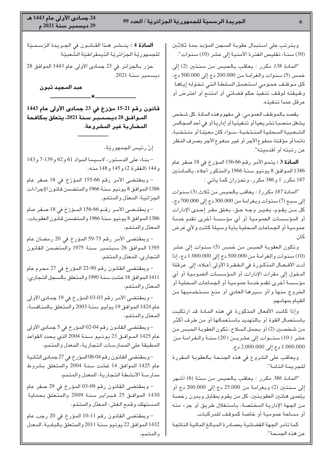ويترتب على استبدال عقوبة السجن المؤبد بمدة ثلاثين (30) سنـة، تقليص الفترة الأمنيـة إلى عشر (10) سنـوات".

المادة 138 مكرر : يعاقب بالحبس من سنتين (2) إلى" خمس (5) سنـوات والـغرامـة مـن 200.000 دج إلى 500.000 دج، كل مـوظـف عـمـومي اسـتـعـمـل السلطـة الـتـي تـخـوّلـه إيـاهـا وظيفته لوقف تنفيذ حكم قضائي أو امتنع أو اعترض أو عرفل عمدا تنفيذه.

يقصد بالموظف العمومي، في مفهوم هذه المادة، كل شـخص يشغل منصبـا تشريعيـا أو تنـفيذيـا أو إداريـا أو في أحد المـجـالس الشـعـبيـة المـحلـيـة المنـتخـبـة، سـواء كان معيّنـا أو منـتخـبـا، دائمـا أو مؤقتـا، مدفـوع الأجر أو غيـر مدفـوع الأجر بصـرف النـظر عن رتبته أو أقدميته".

**المـادّة 3 :** يتمم الأمر رقم 66-156 المؤرخ في 18 صفر عـام 1386 الموافق 8 يونيو سنـة 1966 والمذكور أعلاه، بـالمـادتـين 187 مکرر 1 و386 مکرر ، وتحرّران کما يأتي :

المادة 187 مكرر 1 : يعاقب بالحبس من ثلاث (3) سنوات" $\mu$ إلى سبع (7) سنوات وبغرامة من 300.000 دج إلى 700.000 دج، كل مــن يقـوم، بـغـيـر وجـه حـق، بـغـلق مقـر إحـدى الإدارات أو المؤسسات العمومية أو أي مؤسسة أخرى تقدم خدمة عمومية أو الجماعات المحلية بأية وسيلة كانت ولأى غرض کان.

وتكون العقوبـة الـحبس من خمس (5) سنـوات إلى عشر (10) سنوات والغرامة من 500.000 دج إلى 1.000.000 دج، إذا أدت الأفــعــال المذكــورة في الــفـقـرة الأولى أعــلاه، إلى عرقلـة الدخول إلى مقرات الإدارات أو المؤسسات العمومية أو أي مؤسسة أخرى تقدم خدمة عمومية أو الجماعات المحلية أو الخروج منها و/أو سيرها العادي أو منع مستخدميها من القيام بمهامهم.

وإذا كانت الأفعال المذكورة فى هذه المادة قد ارتكبت باستعمال القوة أو بالتهديد باستعمالها أو من طرف أكثر من شـخصـين (2) أو بـحمل السـلاح، تكون الـعقوبـة الـحبـس مـن عشر ( 10) سنــوات إلى عشريــن ( 20) سنـة والـغرامـة مـن 000.000 دج إلى 2.000.000 دج.

ويعاقب على الشروع في هذه الجنحة بالعقوبة المقررة للجريمة التامة".

المادة 386 مكرر : يعاقب بالحبس من ستة (6) أشهر" إلى سنتين (2) وبغرامة من 25.000 دج إلى 200.000 دج أو بـإحدى هـاتـين الـعقوبـتـين، كل مـن يـقوم بمقـابـل وبدون رخصـة من الجهة الإدارية المختصة، باستغلال طريق أو جزء منه أو مساحة عمومية أو خاصة كموقف للمركبات.

كما تأمر الجهة القضائية بمصادرة المبالغ المالية الناتجة عن هذه الجنحة".

**المـادّة 4 :** ينــشـر هـذا القــانــون في الجــريـدة الرّســمـيّة للجمهوريّة الجزائريّة الدّيمقراطيّة الشْعبيّة.

حرّر بالجزائر في 23 جمادى الأولى عام 1443 الموافق 28 ديسمبر سنـة 2021.

عبد المجيد تبون

قـانـون رقـم 21-15 مؤرّخ في 23 جمـادى الأولى عـام 1443 المـوافـق 28 ديـسـمـبـر سـنـة 2021، يتـعلق بمكافـمـة المضاربة غير المشروعة.

**–––––––––––**

★

إنّ رئيس الجمهوريّة،

– بنـاء على الدسـتور ، لاسـيمـا المـواد 61 و 62 و 139-7 و 143 و 144 (الفقرة 2) و 145 و 148 منـه،

– وبمقتضى الأمر رقم 66-155 المؤرّخ في 18 صفر عام 1386 الموافق 8 يونيو سنـة 1966 والمتضمن قـانون الإجراءات الجزائية، المعدّل والمتمّم،

– وبمقتـضـى الأمـر رقــم 66-156 المــؤرّخ فى 18 صـفر عــام 1386 الموافق 8 يونيو سنـة 1966 والمتضمن قـانون العقوبـات، المعدّل والمتمّم،

– وبمقتضى الأمر رقم 75-59 المؤرخ في 20 رمضان عام 1395 الموافق 26 سبتمبر سنة 1975 والمتضمن القانون التجاري، المعدّل والمتمّم،

– وبمقتضى القانون رقم 90-22 المؤرخ في 27 محرم عام 1411 الموافق 18 غشت سنـة 1990 والمتعلق بـالسـجل التـجـارى، المعدّل والمتمّم،

– وبمقتضى الأمر رقم 03-03 المؤرخ فى 19 جمادى الأولى عام 1424 الموافق 19 يوليو سنـة 2003 والمتعلق بـالمنـافسـة، المعدّل والمتمّم،

– وبمقتضىي القانـون رقـم 04-02 المـؤرخ في 5 جمـادى الأولى عام 1425 المـوافــق 23 يـونــيـو سـنــة 2004 الذي يـحدد القواعد المطبقة على الممارسات التجارية، المعدل والمتمم،

– وبمقتضىي القانون رقم 04-08 المؤرخ في 27 جمـادي الثـانـيـة عام 1425 الموافق 14 غشت سنة 2004 والمتعلق بشروط ممارسية الأنشطة التجارية، المعدل والمتمم،

– وبمقتضىي القانون رقم 09-03 المؤرخ في 29 صفر عام 1430 الموافـق 25 فـبـرايـر سنـة 2009 والمتعلق بحمايـة المستهلك وقمع الغش، المعدّل والمتمّم،

– وبمقتضى القانون رقم 11-10 المؤرخ في 20 رجب عام 1432 الموافق 22 يونيو سنـة 2011 والمتعلق بـالبـلديـة، المـعدل والمتمم،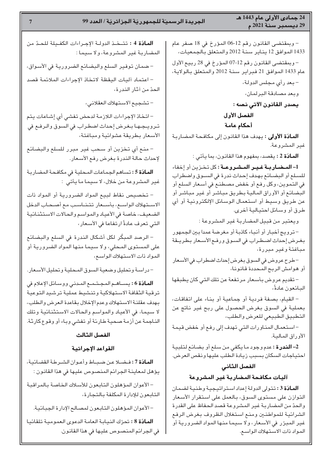#### 24 جمادى الأولى عام 1443 هـ 29 ديسمبر سنة 2021 م

- وبمقتضى القانون رقم 12-06 المؤرخ في 18 صفر عام 1433 الموافق 12 يناير سنة 2012 والمتعلق بالجمعيات،

- وبمقتضى القانون رقم 12-07 المؤرخ في 28 ربيع الأول عام 1433 الموافق 21 فبراير سنة 2012 والمتعلق بالولاية،

> – بعد رأى مجلس الدولة، وبعد مصادقة البرلمان، يصدر القانون الآتي نصه : الفصل الأول

أحكام عامة

**المادّة الأولى :** يهدف هذا القانون إلى مكافحة المضاربة غير المشروعة.

المادّة 2: يقصد، بمفهوم هذا القانون، بما يأتى:

1- المضاربة غير المشروعة: كل تخزين أو إخفاء للسلع أو البضائع بهدف إحداث ندرة في السوق واضطراب في التموين، وكل رفع أو خفض مصطنع في أسعار السلع أو البضائع أو الأوراق المالية بطريق مباشر أو غير مباشر أو عن طريق وسيط أو استعمال الوسائل الإلكترونية أو أي طرق أو وسائل احتيالية أخرى.

ويعتبر من قبيل المضاربة غير المشروعة:

– ترويج أخبار أو أنباء كاذبة أو مغرضة عمدا بين الجمهور بغرض إحداث اضطراب فى السوق ورفع الأسعار بطريقة مباغتة وغير مبررة،

-طرح عروض في السوق بغرض إحداث اضطراب في الأسعار أو هوامش الربح المحددة قانونا،

- تقديم عروض بأسعار مرتفعة عن تلك التى كان يطبقها البائعون عادةً،

- القيام، بصفة فردية أو جماعية أو بناء على اتفاقات، بعملية في السوق بغرض الحصول على ربح غير ناتج عن التطبيق الطبيعى للعرض والطلب،

- استعمال المناورات التى تهدف إلى رفع أو خفض قيمة الأوراق المالية.

2- الندرة: عدم وجود ما يكفى من سلع أو بضائع لتلبية احتياجات السكان بسبب زيادة الطلب عليها ونقص العرض.

### الفصل الثانى

#### آليات مكافحة المضاربة غير المشروعة

المادّة 3 : تتولى الدولة إعداد استراتيجية وطنية لضمان التوازن على مستوى السوق، بالعمل على استقرار الأسعار والحدّ من المضاربة غير المشروعة قصد الحفاظ على القدرة الشرائية للمواطنين ومنع استغلال الظروف بغرض الرفع غير المبرّر في الأسعار ، ولا سيما منها المواد الضرورية أو المواد ذات الاستهلاك الواسع.

المادّة 4 : تتخذ الدولة الإجراءات الكفيلة للحدّ من المضاربة غير المشروعة، ولا سيما:

- ضمان توفير السلع والبضائع الضرورية في الأسواق،

- اعتماد آليات اليقظة لاتخاذ الإجراءات الملائمة قصد الحدّ من آثار الندرة،

- تشجيع الاستهلاك العقلاني،

- اتخاذ الإجراءات اللازمة لدحض تفشى أى إشاعات يتم تـرويـجـهـا بـغـرض إحداث اضطـراب في السوق والـرفـع في الأسعار بطريقة عشوائية ومباغتة،

- منع أي تخزين أو سحب غير مبرر للسلع والبضائع لإحداث حالة الندرة بغرض رفع الأسعار.

المادّة 5: تساهم الجماعات المحلية في مكافحة المضاربة غير المشروعة من خلال، لا سيما ما يأتى:

- تخصيص نقاط لبيع المواد الضرورية أو المواد ذات الاستهلاك الواسع، بأسعار تتناسب مع أصحاب الدخل الضعيف، خاصة في الأعياد والمواسم والحالات الاستثنائية التي تعرف عادةً ارتفاعا في الأسعار،

– الرصد المبكّر لكل أشكال الندرة في السلع والبضائع على المستوى المحلى، ولا سيما منها المواد الضرورية أو المواد ذات الاستهلاك الواسع،

- دراسة وتحليل وضعية السوق المحلية وتحليل الأسعار.

المادّة 6: يساهم المجتمع المدنى ووسائل الإعلام فى ترقية الثقافة الاستهلاكية وتنشيط عملية ترشيد التوعية بهدف عقلنة الاستهلاك وعدم الإخلال بقاعدة العرض والطلب، لا سيما، في الأعياد والمواسم والحالات الاستثنائية وتلك الناجمة عن أزمة صحية طارئة أو تفشى وباء أو وقوع كارثة.

### الفصل الثالث

#### القواعد الإجرائية

المادّة 7: فضلا عن ضباط وأعوان الشرطة القضائية، يؤهل لمعاينة الجرائم المنصوص عليها في هذا القانون :

- الأعوان المؤهلون التابعون للأسلاك الخاصة بالمراقبة التائعون للإدارة المكلفة بالتجارة،

- الأعوان المؤهلون التابعون لمصالح الإدارة الجبائية.

المادّة 8: تحرّك النيابة العامة الدعوى العمومية تلقائيا في الجرائم المنصوص عليها في هذا القانون.